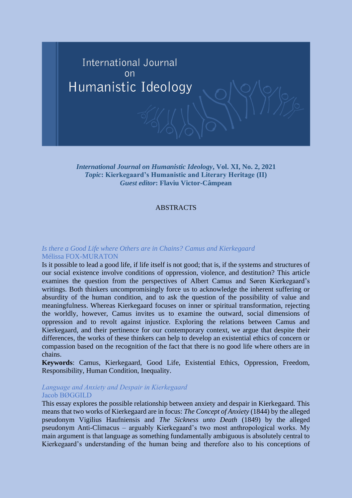

*International Journal on Humanistic Ideology***, Vol. XI, No. 2, 2021** *Topic***: Kierkegaard's Humanistic and Literary Heritage (II)** *Guest editor***: Flaviu Victor-Câmpean**

#### ABSTRACTS

## *Is there a Good Life where Others are in Chains? Camus and Kierkegaard* Mélissa FOX-MURATON

Is it possible to lead a good life, if life itself is not good; that is, if the systems and structures of our social existence involve conditions of oppression, violence, and destitution? This article examines the question from the perspectives of Albert Camus and Søren Kierkegaard's writings. Both thinkers uncompromisingly force us to acknowledge the inherent suffering or absurdity of the human condition, and to ask the question of the possibility of value and meaningfulness. Whereas Kierkegaard focuses on inner or spiritual transformation, rejecting the worldly, however, Camus invites us to examine the outward, social dimensions of oppression and to revolt against injustice. Exploring the relations between Camus and Kierkegaard, and their pertinence for our contemporary context, we argue that despite their differences, the works of these thinkers can help to develop an existential ethics of concern or compassion based on the recognition of the fact that there is no good life where others are in chains.

**Keywords**: Camus, Kierkegaard, Good Life, Existential Ethics, Oppression, Freedom, Responsibility, Human Condition, Inequality.

#### *Language and Anxiety and Despair in Kierkegaard* Jacob BØGGILD

This essay explores the possible relationship between anxiety and despair in Kierkegaard. This means that two works of Kierkegaard are in focus: *The Concept of Anxiety* (1844) by the alleged pseudonym Vigilius Haufniensis and *The Sickness unto Death* (1849) by the alleged pseudonym Anti-Climacus – arguably Kierkegaard's two most anthropological works. My main argument is that language as something fundamentally ambiguous is absolutely central to Kierkegaard's understanding of the human being and therefore also to his conceptions of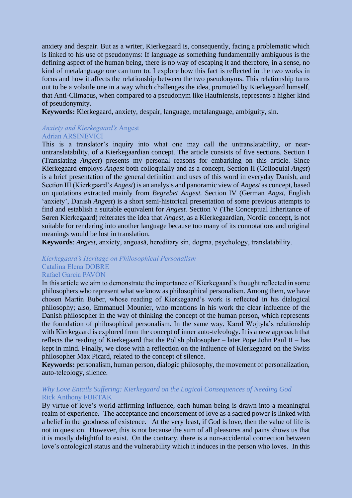anxiety and despair. But as a writer, Kierkegaard is, consequently, facing a problematic which is linked to his use of pseudonyms: If language as something fundamentally ambiguous is the defining aspect of the human being, there is no way of escaping it and therefore, in a sense, no kind of metalanguage one can turn to. I explore how this fact is reflected in the two works in focus and how it affects the relationship between the two pseudonyms. This relationship turns out to be a volatile one in a way which challenges the idea, promoted by Kierkegaard himself, that Anti-Climacus, when compared to a pseudonym like Haufniensis, represents a higher kind of pseudonymity.

**Keywords:** Kierkegaard, anxiety, despair, language, metalanguage, ambiguity, sin.

## *Anxiety and Kierkegaard's* Angest Adrian ARSINEVICI

This is a translator's inquiry into what one may call the untranslatability, or nearuntranslatability, of a Kierkegaardian concept. The article consists of five sections. Section I (Translating *Angest*) presents my personal reasons for embarking on this article. Since Kierkegaard employs *Angest* both colloquially and as a concept, Section II (Colloquial *Angst*) is a brief presentation of the general definition and uses of this word in everyday Danish, and Section III (Kierkgaard's *Angest*) is an analysis and panoramic view of *Angest* as concept, based on quotations extracted mainly from *Begrebet Angest.* Section IV (German *Angst,* English 'anxiety', Danish *Angest*) is a short semi-historical presentation of some previous attempts to find and establish a suitable equivalent for *Angest.* Section V (The Conceptual Inheritance of Søren Kierkegaard) reiterates the idea that *Angest*, as a Kierkegaardian, Nordic concept, is not suitable for rendering into another language because too many of its connotations and original meanings would be lost in translation.

**Keywords**: *Angest,* anxiety, angoasă, hereditary sin, dogma, psychology, translatability.

## *Kierkegaard's Heritage on Philosophical Personalism* Catalina Elena DOBRE Rafael García PAVÓN

In this article we aim to demonstrate the importance of Kierkegaard's thought reflected in some philosophers who represent what we know as philosophical personalism. Among them, we have chosen Martin Buber, whose reading of Kierkegaard's work is reflected in his dialogical philosophy; also, Emmanuel Mounier, who mentions in his work the clear influence of the Danish philosopher in the way of thinking the concept of the human person, which represents the foundation of philosophical personalism. In the same way, Karol Wojtyla's relationship with Kierkegaard is explored from the concept of inner auto-teleology. It is a new approach that reflects the reading of Kierkegaard that the Polish philosopher – later Pope John Paul II – has kept in mind. Finally, we close with a reflection on the influence of Kierkegaard on the Swiss philosopher Max Picard, related to the concept of silence.

**Keywords:** personalism, human person, dialogic philosophy, the movement of personalization, auto-teleology, silence.

## *Why Love Entails Suffering: Kierkegaard on the Logical Consequences of Needing God* Rick Anthony FURTAK

By virtue of love's world-affirming influence, each human being is drawn into a meaningful realm of experience. The acceptance and endorsement of love as a sacred power is linked with a belief in the goodness of existence. At the very least, if God is love, then the value of life is not in question. However, this is not because the sum of all pleasures and pains shows us that it is mostly delightful to exist. On the contrary, there is a non-accidental connection between love's ontological status and the vulnerability which it induces in the person who loves. In this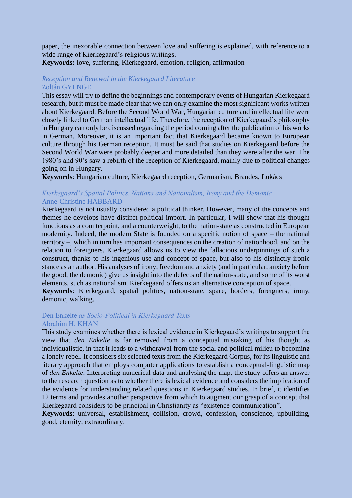paper, the inexorable connection between love and suffering is explained, with reference to a wide range of Kierkegaard's religious writings.

# **Keywords:** love, suffering, Kierkegaard, emotion, religion, affirmation

## *Reception and Renewal in the Kierkegaard Literature* Zoltán GYENGE

This essay will try to define the beginnings and contemporary events of Hungarian Kierkegaard research, but it must be made clear that we can only examine the most significant works written about Kierkegaard. Before the Second World War, Hungarian culture and intellectual life were closely linked to German intellectual life. Therefore, the reception of Kierkegaard's philosophy in Hungary can only be discussed regarding the period coming after the publication of his works in German. Moreover, it is an important fact that Kierkegaard became known to European culture through his German reception. It must be said that studies on Kierkegaard before the Second World War were probably deeper and more detailed than they were after the war. The 1980's and 90's saw a rebirth of the reception of Kierkegaard, mainly due to political changes going on in Hungary.

**Keywords**: Hungarian culture, Kierkegaard reception, Germanism, Brandes, Lukács

# *Kierkegaard's Spatial Politics. Nations and Nationalism, Irony and the Demonic* Anne-Christine HABBARD

Kierkegaard is not usually considered a political thinker. However, many of the concepts and themes he develops have distinct political import. In particular, I will show that his thought functions as a counterpoint, and a counterweight, to the nation-state as constructed in European modernity. Indeed, the modern State is founded on a specific notion of space – the national territory –, which in turn has important consequences on the creation of nationhood, and on the relation to foreigners. Kierkegaard allows us to view the fallacious underpinnings of such a construct, thanks to his ingenious use and concept of space, but also to his distinctly ironic stance as an author. His analyses of irony, freedom and anxiety (and in particular, anxiety before the good, the demonic) give us insight into the defects of the nation-state, and some of its worst elements, such as nationalism. Kierkegaard offers us an alternative conception of space.

**Keywords**: Kierkegaard, spatial politics, nation-state, space, borders, foreigners, irony, demonic, walking.

## Den Enkelte *as Socio-Political in Kierkegaard Texts* Abrahim H. KHAN

This study examines whether there is lexical evidence in Kierkegaard's writings to support the view that *den Enkelte* is far removed from a conceptual mistaking of his thought as individualistic, in that it leads to a withdrawal from the social and political milieu to becoming a lonely rebel. It considers six selected texts from the Kierkegaard Corpus, for its linguistic and literary approach that employs computer applications to establish a conceptual-linguistic map of *den Enkelte*. Interpreting numerical data and analysing the map, the study offers an answer to the research question as to whether there is lexical evidence and considers the implication of the evidence for understanding related questions in Kierkegaard studies. In brief, it identifies 12 terms and provides another perspective from which to augment our grasp of a concept that Kierkegaard considers to be principal in Christianity as "existence-communication".

**Keywords**: universal, establishment, collision, crowd, confession, conscience, upbuilding, good, eternity, extraordinary.